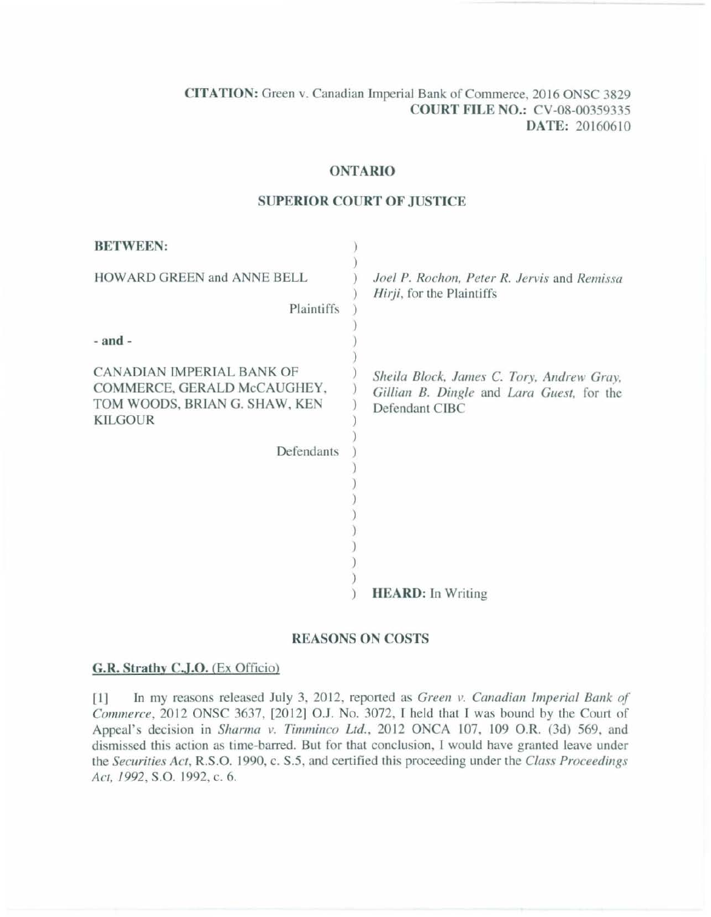CITATION: Green v. Canadian Imperial Bank of Commerce, 20 16 ONSC 3829 COURT FILE NO.: CV-08-00359335 DATE: 20160610

#### ONTARIO

### SUPERIOR COURT OF JUSTICE

| <b>BETWEEN:</b>                                                                                             |                                                                                                          |
|-------------------------------------------------------------------------------------------------------------|----------------------------------------------------------------------------------------------------------|
| HOWARD GREEN and ANNE BELL<br>Plaintiffs                                                                    | Joel P. Rochon, Peter R. Jervis and Remissa<br>Hirji, for the Plaintiffs                                 |
| $-$ and $-$                                                                                                 |                                                                                                          |
| CANADIAN IMPERIAL BANK OF<br>COMMERCE, GERALD McCAUGHEY,<br>TOM WOODS, BRIAN G. SHAW, KEN<br><b>KILGOUR</b> | Sheila Block, James C. Tory, Andrew Gray,<br>Gillian B. Dingle and Lara Guest, for the<br>Defendant CIBC |
| Defendants                                                                                                  |                                                                                                          |
|                                                                                                             |                                                                                                          |
|                                                                                                             |                                                                                                          |
|                                                                                                             |                                                                                                          |
|                                                                                                             |                                                                                                          |
|                                                                                                             | <b>HEARD:</b> In Writing                                                                                 |

### REASONS ON COSTS

### G.R. Strathv C.J.O. (Ex Officio)

[1] In my reasons released July 3, 2012, reported as *Green v. Canadian Imperial Bank of Commerce*, 2012 ONSC 3637, [2012] O.J. No. 3072, I held that I was bound by the Court of Appeal's decision in *Sharma v. Timminco Ltd.*, 2012 ONCA 107, 109 O.R. (3d) 569, and dismissed this action as time-barred. But for that conclusion, I would have granted leave under the *Securities Act,* R.S.O. 1990, c. *S.S,* and cenified this proceeding under the *Class Proceedings Act, 1992,* S.O. 1992, c. 6.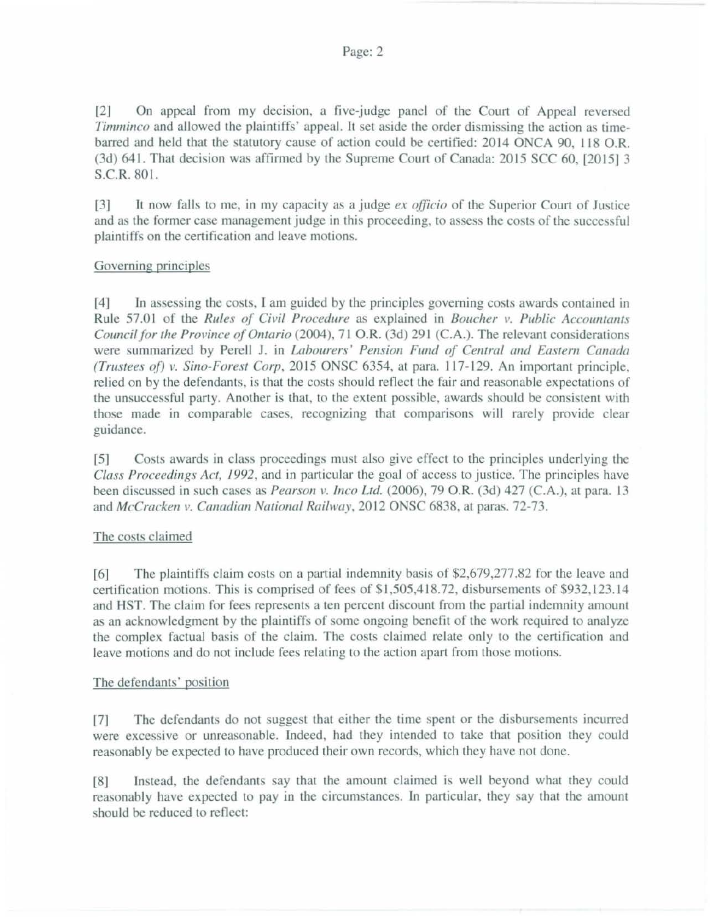f21 On appeal from my decision, a five-judge panel of the Court of Appeal reversed *Timminco* and allowed the plaintiffs' appeal. It set aside the order dismissing the action as timebarred and held that the statutory cause of action could be certified: 2014 ONCA 90, 118 O.R. (3d) 641. That decision was affirmed by the Supreme Court of Canada: 2015 SCC 60, [201513 S.C.R. 801.

[31 It now falls to me, in my capacity as a judge *ex officio* of the Superior Court of Justice and as the former case management judge in this proceeding, to assess the costs of the successful plaintiffs on the cenification and leave motions.

# Governing principles

[4] In assessing the costs, I am guided by the principles governing costs awards contained in Rule 57.0 I of the *Rules of Civil Procedure* as explained in *Boucher* 1'. *Public Accountants Council for the Province of Ontario* (2004), 71 O.R. (3d) 291 (C.A.). The relevant considerations were summarized by Perell J. in *Labourers' Pension Fund of Central and Eastern Canada (Trustees of) v. Sino-Forest Corp, 2015 ONSC 6354, at para. 117-129. An important principle,* relied on by the defendants, is that the costs should reflect the fair and reasonable expectations of the unsuccessful party. Another is that, to the extent possible, awards should be consistent with those made in comparable cases, recognizing that comparisons will rarely provide clear guidance.

[5] Costs awards in class proceedings must also give effect to the principles underlying the *Class Proceedings Act, 1992*, and in particular the goal of access to justice. The principles have been discussed in such cases as *Pearson v. Inco Ltd.* (2006), 79 O.R. (3d) 427 (C.A.), at para. 13 and *McCracken v. Canadian National Railway*, 2012 ONSC 6838, at paras. 72-73.

## The costs claimed

[6] The plaintiffs claim costs on a partial indemnity basis of \$2,679,277.82 for the leave and certification motions. This is comprised of fees of \$1,505,418.72, disbursements of \$932,123.14 and HST. The claim for fees represents a ten percent discount from the partial indemnity amount as an acknowledgment by the plaintiffs of some ongoing benefit of the work required to analyze the complex factual basis of the claim. The costs claimed relate only to the certification and leave motions and do not include fees relating to the action apart from those motions.

## The defendants' position

[7] The defendants do not suggest that either the time spent or the disbursements incurred were excessive or unreasonable. Indeed. had they intended to take that position they could reasonably be expected to have produced their own records, which they have not done.

(8] Instead, the defendants say that the amount claimed is well beyond what they could reasonably have expected to pay in the circumstances. In particular, they say that the amount should be reduced to reflect: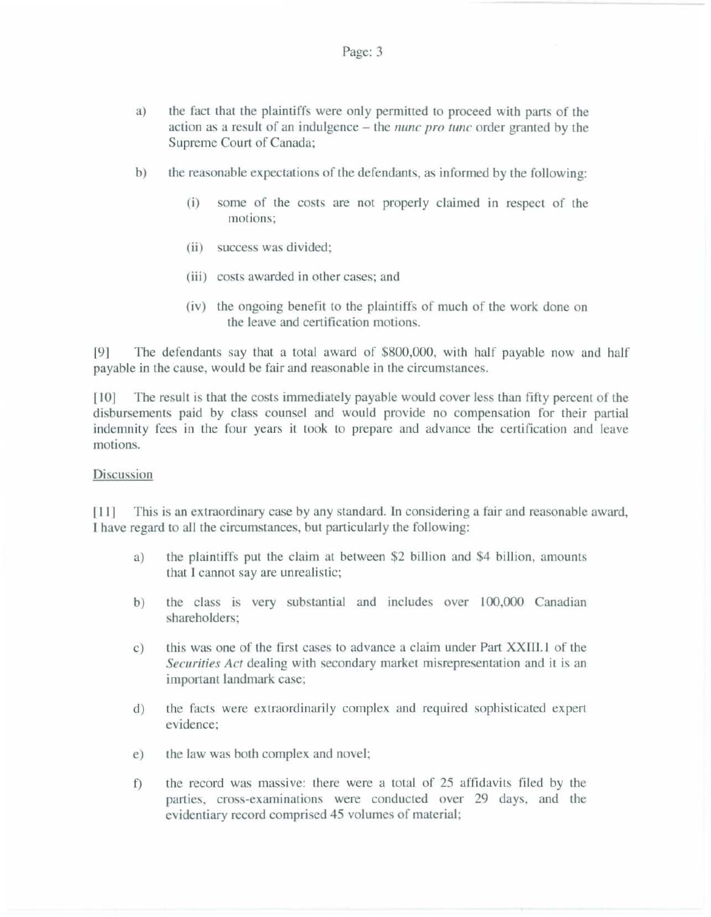- a) the fact that the plaintiffs were only permitted to proceed with parts of the action as a result of an indulgence- the *nunc pro tunc* order granted by the Supreme Court of Canada;
- b) the reasonable expectations of the defendants, as informed by the following:
	- (i) some of the costs are not properly claimed in respect of the motions:
	- (ii) success was divided;
	- (iii) costs awarded in other cases; and
	- (iv) the ongoing benefit to the plaintiffs of much of the work done on the leave and certification motions.

[9] The defendants say that a total award of \$800,000, with half payable now and half payable in the cause, would be fair and reasonable in the circumstances.

[10] The result is that the costs immediately payable would cover less than fifty percent of the disbursements paid by class counsel and would provide no compensation for their partial indemnity fees in the four years it took to prepare and advance the certification and leave motions.

### Discussion

[11] This is an extraordinary case by any standard. In considering a fair and reasonable award, I have regard to all the circumstances, but particularly the following:

- a) the plaintiffs put the claim at between \$2 billion and \$4 billion, amounts that I cannot say are unrealistic;
- b) the class is very substantial and includes over 100,000 Canadian shareholders;
- c) this was one of the first cases to advance a claim under Part XXIII.1 of the *Securities Act* dealing with secondary market misrepresentation and it is an important landmark case;
- d) the facts were extraordinarily complex and required sophisticated expert evidence;
- e) the law was both complex and novel;
- f) the record was massive: there were a total of 25 affidavits filed by the parties, cross-examinations were conducted over 29 days, and the evidentiary record comprised 45 volumes of material;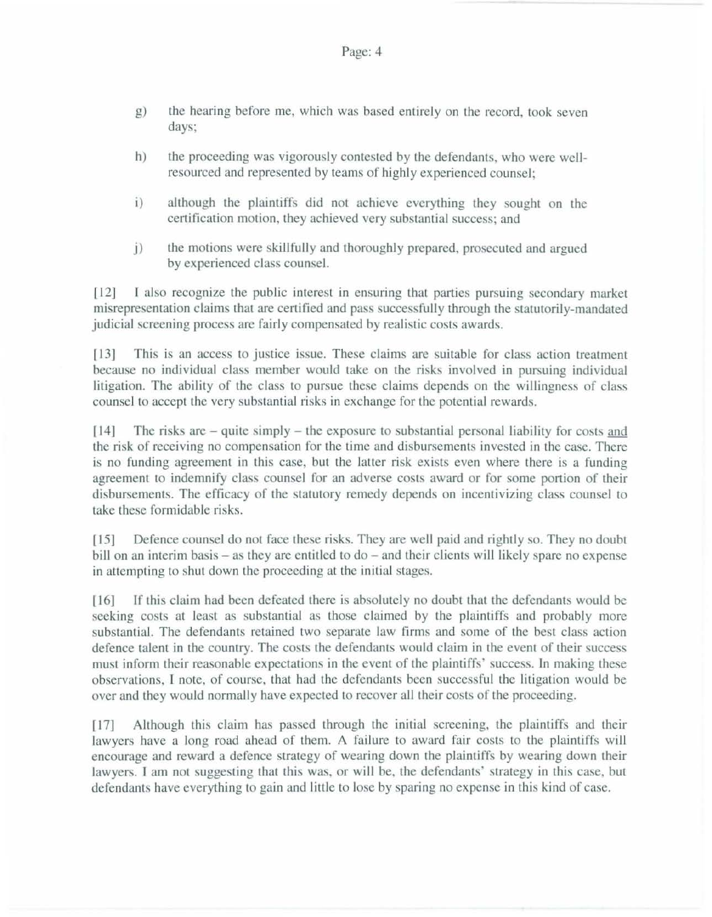- g) the hearing before me, which was based entirely on the record. took seven days;
- h) the proceeding was vigorously contested by the defendants, who were weJIresourced and represented by teams of highly experienced counsel;
- i) although the plaintiffs did not achieve everything they sought on the certification motion, they achieved very substantial success; and
- j) the motions were skillfully and thoroughly prepared. prosecuted and argued by experienced class counsel.

[12] I also recognize the public interest in ensuring that parties pursuing secondary market misrepresentation claims that are certified and pass successfully through the statutorily-mandated judicial screening process are fairly compensated by realistic costs awards.

[13] This is an access to justice issue. These claims are suitable for class action treatment because no individual class member would take on the risks involved in pursuing individual litigation. The ability of the class to pursue these claims depends on the willingness of class counsel to accept the very substantial risks in exchange for the potential rewards.

[14] The risks arc - quite simply - the exposure to substantial personal liability for costs and the risk of receiving no compensation for the time and disbursements invested in the case. There is no funding agreement in this case, but the latter risk exists even where there is a funding agreement to indemnify class counsel for an adverse costs award or for some portion of their disbursements. The efficacy of the statutory remedy depends on incentivizing class counsel to take these fonnidable risks.

[15] Defence counsel do not face these risks. They are well paid and rightly so. They no doubt bill on an interim basis – as they are entitled to do – and their clients will likely spare no expense in attempting to shut down the proceeding at the initial stages.

[16] If this claim had been defeated there is absolutely no doubt that the defendants would be seeking costs at least as substantial as those claimed by the plaintiffs and probably more substantial. The defendants retained two separate law firms and some of the best class action defence talent in the country. The costs the defendants would claim in the event of their success must inform their reasonable expectations in the event of the plaintiffs' success. In making these observations, I note, of course, that had the defendants been successful the litigation would be over and they would normally have expected to recover all their costs of the proceeding.

[17] Although this claim has passed through the initial screening, the plaintiffs and their lawyers have a long road ahead of them. A failure to award fair costs to the plajntiffs will encourage and reward a defence strategy of wearing down the plaintiffs by wearing down their lawyers. I am not suggesting that this was, or will be, the defendants' strategy in this case, but defendants have everything to gain and little to lose by sparing no expense in this kind of case.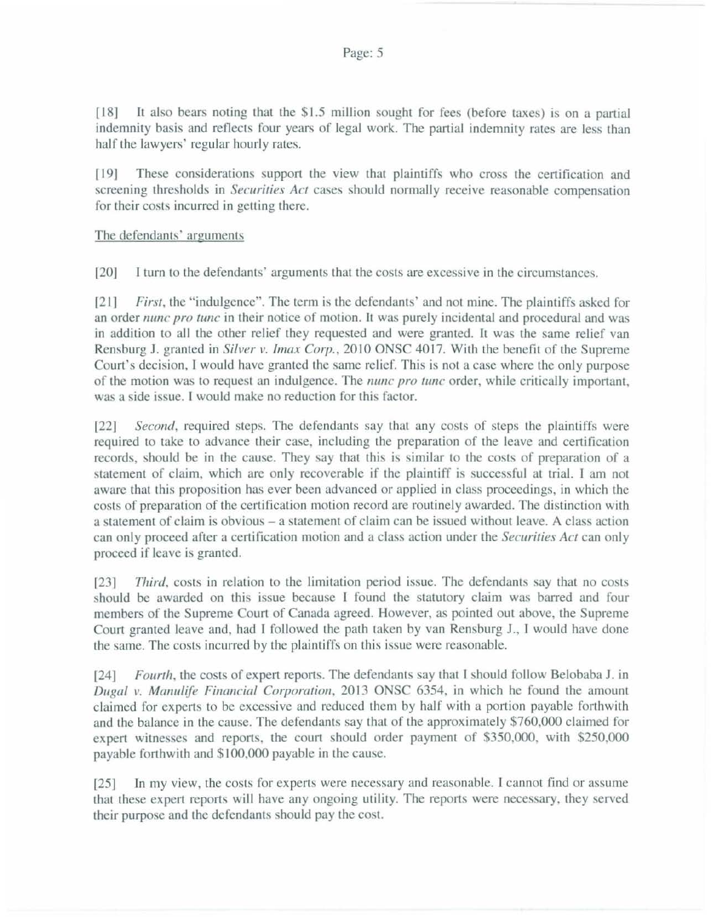$\lceil 18 \rceil$  It also bears noting that the \$1.5 million sought for fees (before taxes) is on a partial indemnity basis and reflects four years of legal work. The partial indemnity rates are less than half the lawyers' regular hourly rates.

[19] These considerations support the view that plaintiffs who cross the certification and screening thresholds in *Securities Act* cases should normally receive reasonable compensation for their costs incurred in getting there.

## The defendants' arguments

[20j I turn to the defendants' arguments that the costs are excessive in the circumstances.

1211 *Firs/,* the " indulgence". The term is the defendants' and not mine. The plaintiffs asked for an order *nunc pro tunc* in their notice of motion. It was purely incidental and procedural and was in addition to all the other relief they requested and were granted. It was the same relief van Rensburg J. granted in *Silver v. Imax Corp.*, 2010 ONSC 4017. With the benefit of the Supreme Court's decision, I would have granted the same relief. This is not a case where the only purpose of the motion was to request an indulgence. The *nunc pro tunc* order, while critically important, was a side issue. I would make no reduction for this factor.

[22] *Second,* required steps. The defendants say that any costs of steps the plaintiffs were required to take to advance their case, including the preparation of the leave and certification records, should be in the cause. They say that this is similar to the costs of preparation of a statement of claim, which are only recoverable if the plaintiff is successful at trial. I am not aware that this proposition has ever been advanced or applied in class proceedings, in which the costs of preparation of the certification motion record are routinely awarded. The distinction with a statement of claim is obvious- a statement of claim can be issued without leave. A class action can only proceed after a certification motion and a class action under the *Securities Act* can only proceed if leave is granted.

[231 *Third.* costs in relation to the limitation period issue. The defendants say that no costs should be awarded on this issue because I found the statutory claim was barred and four members of the Supreme Court of Canada agreed. However, as pointed out above, the Supreme Court granted leave and, had I followed the path taken by van Rensburg J., l would have done the same. The costs incurred by the plaintiffs on this issue were reasonable.

[24] *Fourth*, the costs of expert reports. The defendants say that I should follow Belobaba J. in *Dugal v. Manulife Financial Corporation, 2013 ONSC 6354, in which he found the amount* claimed for experts to be excessive and reduced them by half with a portion payable forthwith and the balance in the cause. The defendants say that of the approximately \$760,000 claimed for expert witnesses and reports. the court should order payment of \$350,000, with \$250,000 payable forthwith and \$100,000 payable in the cause.

(251 In my view, the costs for experts were necessary and reasonable. I cannot find or assume that these expert reports will have any ongoing utility. The reports were necessary, they served their purpose and the defendants should pay the cost.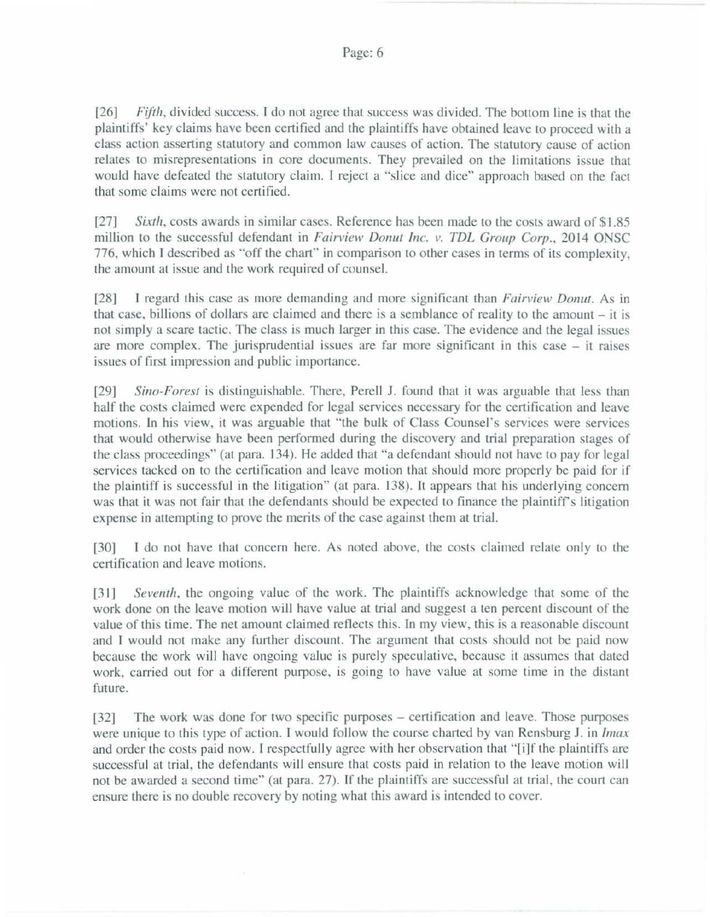[26] *Fifth*, divided success. I do not agree that success was divided. The bottom line is that the plaintiffs' key claims have been certified and the plaintiffs have obtained leave to proceed \Vith a class action asserting statutory and common law causes of action. The statutory cause of action relates to misrepresentations in core documents. They prevailed on the limitations issue that would have defeated the statutory claim. I reject a "slice and dice'' approach based on the fact that some claims were not certified.

[27] *Sixth*, costs awards in similar cases. Reference has been made to the costs award of \$1.85 million to the successful defendant in *Fairview Donut Inc. v. TDL Group Corp.*, 2014 ONSC 776, which I described as "off the chart" in comparison to other cases in terms of its complexity. the amount at issue and the work required of counsel.

f28] I regard this case as more demanding and more significant than *Fairview Donllf.* As in that case, billions of dollars are claimed and there is a semblance of reality to the amount  $-$  it is not simply a scare tactic. The class is much larger in this case. The evidence and the legal issues are more complex. The jurisprudential issues are far more significant in this case  $-$  it raises issues of first impression and public importance.

[29] *Sino-Forest* is distinguishable. There, Perell J. found that it was arguable that less than half the costs claimed were expended for legal services necessary for the certification and leave motions. In his view, it was arguable that "the bulk of Class Counsel's services were services that would otherwise have been performed during the discovery and trial preparation stages of the class proceedings" (at para. 134). He added that "a defendant should not have to pay for legal services tacked on to the certification and leave motion that should more properly be paid for if the plaintiff is successful in the litigation" (at para. 138). It appears that his underlying concern was that it was not fair that the defendants should be expected to finance the plaintiff's litigation expense in attempting to prove the merits of the case against them at trial.

[30] I do not have that concern here. As noted above, the costs claimed relate only to the certification and leave motions.

[31] *Seventh*, the ongoing value of the work. The plaintiffs acknowledge that some of the work done on the leave motion will have value at trial and suggest a ten percent discount of the value of this time. The net amount claimed reflects this. In my view, this is a reasonable discount and I would not make any further discount. The argument that costs should not be paid now because the work will have ongoing value is purely speculative, because it assumes that dated work, carried out for a different purpose, is going to have value at some time in the distant future.

[32] The work was done for two specific purposes – certification and leave. Those purposes were unique to this type of action. T would follow the course charted by van Rensburg J. in */max*  and order the costs paid now. I respectfully agree with her observation that "[i]f the plaintiffs are successful at trial, the defendants will ensure that costs paid in relation to the leave motion will not be awarded a second time" (ar para. 27). lf the plaintiffs are successful at trial. the court can ensure there is no double recovery by noting what this award is intended to cover.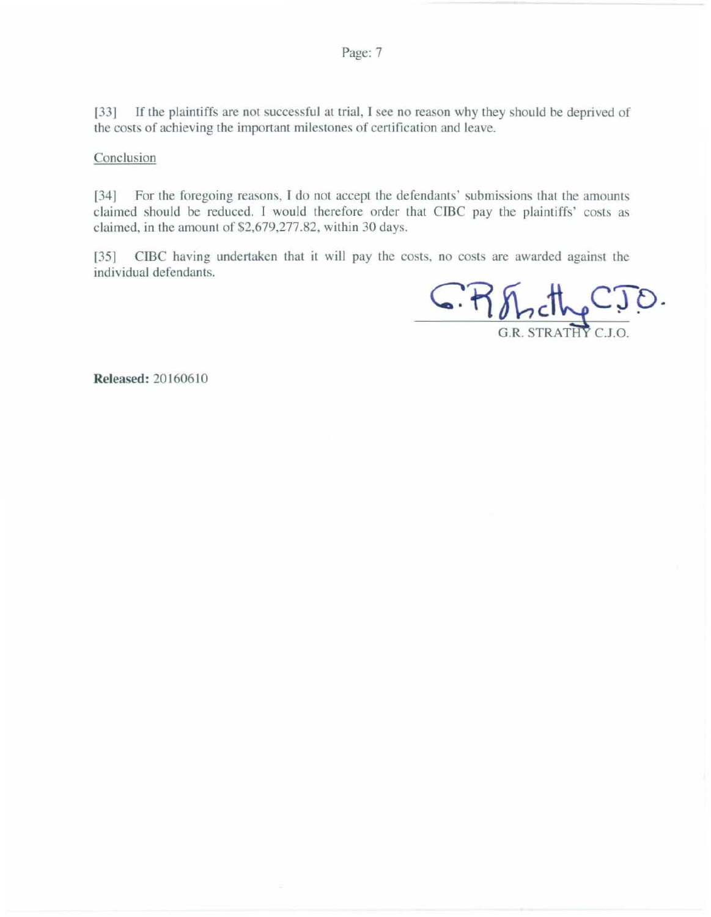[33] If the plaintiffs are not successful at trial, I see no reason why they should be deprived of the costs of achieving the important milestones of certification and leave.

Conclusion

[34] For the foregoing reasons, I do not accept the defendants' submissions that the amounts claimed should be reduced. I would therefore order that CIBC pay the plaintiffs' costs as claimed, in the amount of \$2,679,277.82. within 30 days.

[35] CIBC having undertaken that it will pay the costs, no costs are awarded against the individual defendants.

G. R. Fincthe STRATHY C.J.O

**Released:** 20160610